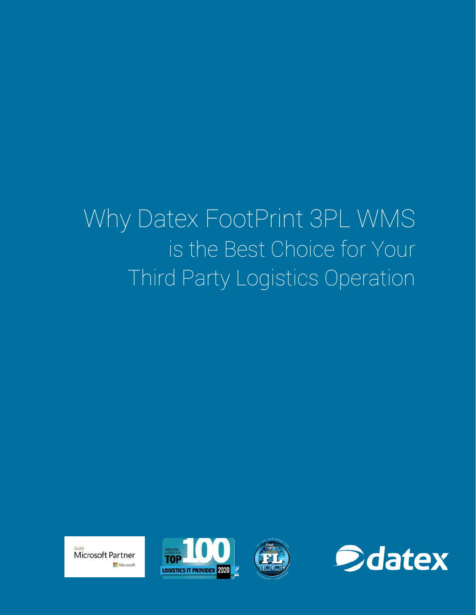# Why Datex FootPrint 3PL WMS is the Best Choice for Your Third Party Logistics Operation







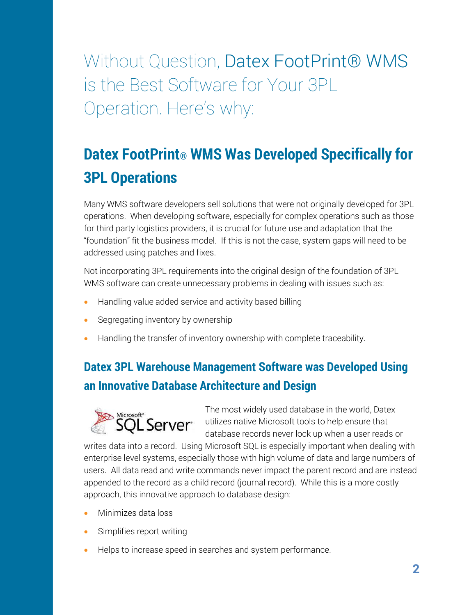Without Question, Datex FootPrint® WMS is the Best Software for Your 3PL Operation. Here's why:

## **Datex FootPrint® WMS Was Developed Specifically for 3PL Operations**

Many WMS software developers sell solutions that were not originally developed for 3PL operations. When developing software, especially for complex operations such as those for third party logistics providers, it is crucial for future use and adaptation that the "foundation" fit the business model. If this is not the case, system gaps will need to be addressed using patches and fixes.

Not incorporating 3PL requirements into the original design of the foundation of 3PL WMS software can create unnecessary problems in dealing with issues such as:

- Handling value added service and activity based billing
- Segregating inventory by ownership
- Handling the transfer of inventory ownership with complete traceability.

#### **Datex 3PL Warehouse Management Software was Developed Using an Innovative Database Architecture and Design**



The most widely used database in the world, Datex Microsoft<sup>®</sup><br>
SQL Server<sup>®</sup> utilizes native Microsoft tools to help ensure that database records never lock up when a user reads or

writes data into a record. Using Microsoft SQL is especially important when dealing with enterprise level systems, especially those with high volume of data and large numbers of users. All data read and write commands never impact the parent record and are instead appended to the record as a child record (journal record). While this is a more costly approach, this innovative approach to database design:

- Minimizes data loss
- Simplifies report writing
- Helps to increase speed in searches and system performance.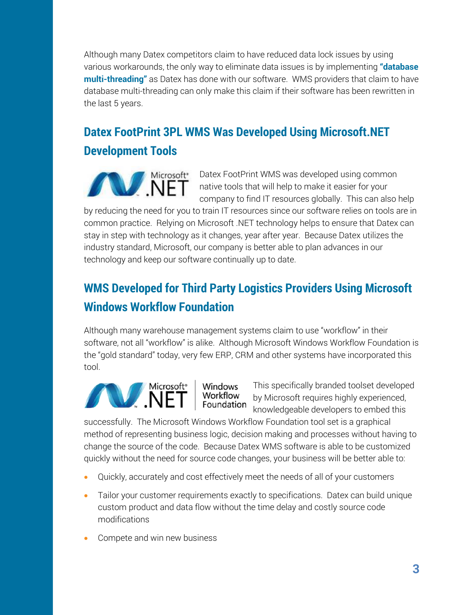Although many Datex competitors claim to have reduced data lock issues by using various workarounds, the only way to eliminate data issues is by implementing **"database multi-threading"** as Datex has done with our software. WMS providers that claim to have database multi-threading can only make this claim if their software has been rewritten in the last 5 years.

#### **Datex FootPrint 3PL WMS Was Developed Using Microsoft.NET Development Tools**



Datex FootPrint WMS was developed using common native tools that will help to make it easier for your company to find IT resources globally. This can also help

by reducing the need for you to train IT resources since our software relies on tools are in common practice. Relying on Microsoft .NET technology helps to ensure that Datex can stay in step with technology as it changes, year after year. Because Datex utilizes the industry standard, Microsoft, our company is better able to plan advances in our technology and keep our software continually up to date.

#### **WMS Developed for Third Party Logistics Providers Using Microsoft Windows Workflow Foundation**

Although many warehouse management systems claim to use "workflow" in their software, not all "workflow" is alike. Although Microsoft Windows Workflow Foundation is the "gold standard" today, very few ERP, CRM and other systems have incorporated this tool.



Windows<br>Workflow<br>Foundation This specifically branded toolset developed by Microsoft requires highly experienced, knowledgeable developers to embed this

successfully. The Microsoft Windows Workflow Foundation tool set is a graphical method of representing business logic, decision making and processes without having to change the source of the code. Because Datex WMS software is able to be customized quickly without the need for source code changes, your business will be better able to:

- Quickly, accurately and cost effectively meet the needs of all of your customers
- Tailor your customer requirements exactly to specifications. Datex can build unique custom product and data flow without the time delay and costly source code modifications
- Compete and win new business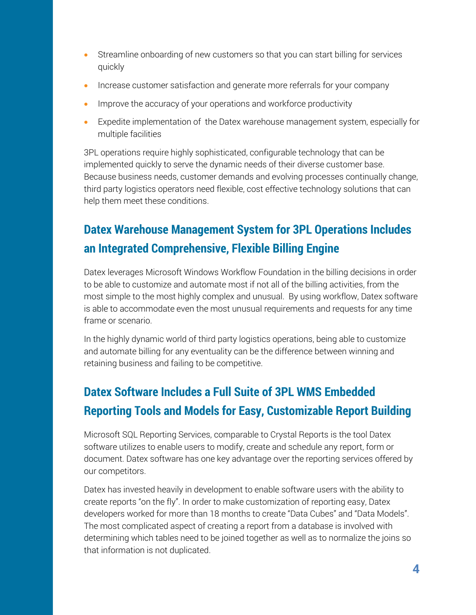- Streamline onboarding of new customers so that you can start billing for services quickly
- Increase customer satisfaction and generate more referrals for your company
- Improve the accuracy of your operations and workforce productivity
- Expedite implementation of the Datex warehouse management system, especially for multiple facilities

3PL operations require highly sophisticated, configurable technology that can be implemented quickly to serve the dynamic needs of their diverse customer base. Because business needs, customer demands and evolving processes continually change, third party logistics operators need flexible, cost effective technology solutions that can help them meet these conditions.

#### **Datex Warehouse Management System for 3PL Operations Includes an Integrated Comprehensive, Flexible Billing Engine**

Datex leverages Microsoft Windows Workflow Foundation in the billing decisions in order to be able to customize and automate most if not all of the billing activities, from the most simple to the most highly complex and unusual. By using workflow, Datex software is able to accommodate even the most unusual requirements and requests for any time frame or scenario.

In the highly dynamic world of third party logistics operations, being able to customize and automate billing for any eventuality can be the difference between winning and retaining business and failing to be competitive.

#### **Datex Software Includes a Full Suite of 3PL WMS Embedded Reporting Tools and Models for Easy, Customizable Report Building**

Microsoft SQL Reporting Services, comparable to Crystal Reports is the tool Datex software utilizes to enable users to modify, create and schedule any report, form or document. Datex software has one key advantage over the reporting services offered by our competitors.

Datex has invested heavily in development to enable software users with the ability to create reports "on the fly". In order to make customization of reporting easy, Datex developers worked for more than 18 months to create "Data Cubes" and "Data Models". The most complicated aspect of creating a report from a database is involved with determining which tables need to be joined together as well as to normalize the joins so that information is not duplicated.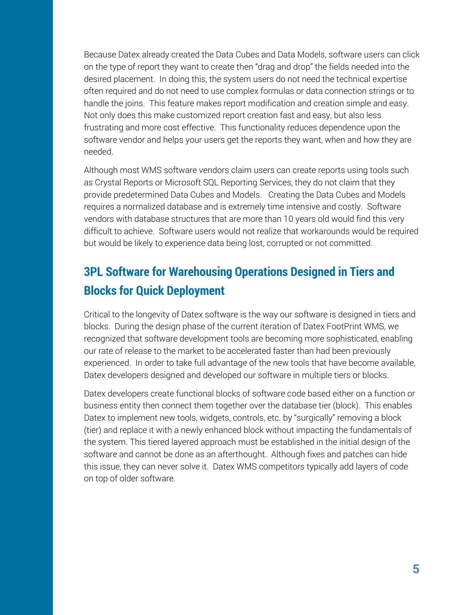Because Datex already created the Data Cubes and Data Models, software users can click on the type of report they want to create then "drag and drop" the fields needed into the desired placement. In doing this, the system users do not need the technical expertise often required and do not need to use complex formulas or data connection strings or to handle the joins. This feature makes report modification and creation simple and easy. Not only does this make customized report creation fast and easy, but also less frustrating and more cost effective. This functionality reduces dependence upon the software vendor and helps your users get the reports they want, when and how they are needed.

Although most WMS software vendors claim users can create reports using tools such as Crystal Reports or Microsoft SQL Reporting Services, they do not claim that they provide predetermined Data Cubes and Models. Creating the Data Cubes and Models requires a normalized database and is extremely time intensive and costly. Software vendors with database structures that are more than 10 years old would find this very difficult to achieve. Software users would not realize that workarounds would be required but would be likely to experience data being lost, corrupted or not committed.

#### **3PL Software for Warehousing Operations Designed in Tiers and Blocks for Quick Deployment**

Critical to the longevity of Datex software is the way our software is designed in tiers and blocks. During the design phase of the current iteration of Datex FootPrint WMS, we recognized that software development tools are becoming more sophisticated, enabling our rate of release to the market to be accelerated faster than had been previously experienced. In order to take full advantage of the new tools that have become available, Datex developers designed and developed our software in multiple tiers or blocks.

Datex developers create functional blocks of software code based either on a function or business entity then connect them together over the database tier (block). This enables Datex to implement new tools, widgets, controls, etc. by "surgically" removing a block (tier) and replace it with a newly enhanced block without impacting the fundamentals of the system. This tiered layered approach must be established in the initial design of the software and cannot be done as an afterthought. Although fixes and patches can hide this issue, they can never solve it. Datex WMS competitors typically add layers of code on top of older software.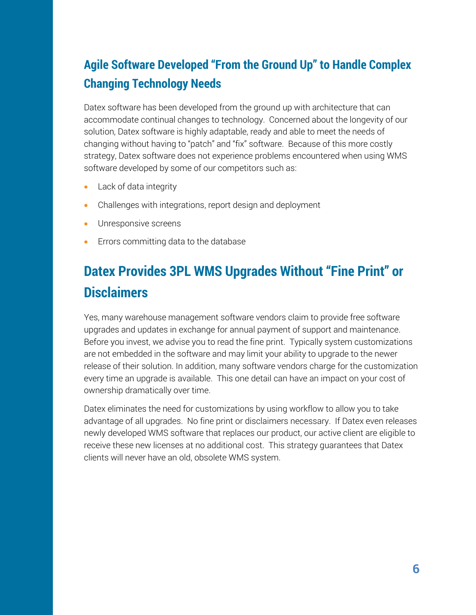#### **Agile Software Developed "From the Ground Up" to Handle Complex Changing Technology Needs**

Datex software has been developed from the ground up with architecture that can accommodate continual changes to technology. Concerned about the longevity of our solution, Datex software is highly adaptable, ready and able to meet the needs of changing without having to "patch" and "fix" software. Because of this more costly strategy, Datex software does not experience problems encountered when using WMS software developed by some of our competitors such as:

- Lack of data integrity
- Challenges with integrations, report design and deployment
- Unresponsive screens
- Errors committing data to the database

### **Datex Provides 3PL WMS Upgrades Without "Fine Print" or Disclaimers**

Yes, many warehouse management software vendors claim to provide free software upgrades and updates in exchange for annual payment of support and maintenance. Before you invest, we advise you to read the fine print. Typically system customizations are not embedded in the software and may limit your ability to upgrade to the newer release of their solution. In addition, many software vendors charge for the customization every time an upgrade is available. This one detail can have an impact on your cost of ownership dramatically over time.

Datex eliminates the need for customizations by using workflow to allow you to take advantage of all upgrades. No fine print or disclaimers necessary. If Datex even releases newly developed WMS software that replaces our product, our active client are eligible to receive these new licenses at no additional cost. This strategy guarantees that Datex clients will never have an old, obsolete WMS system.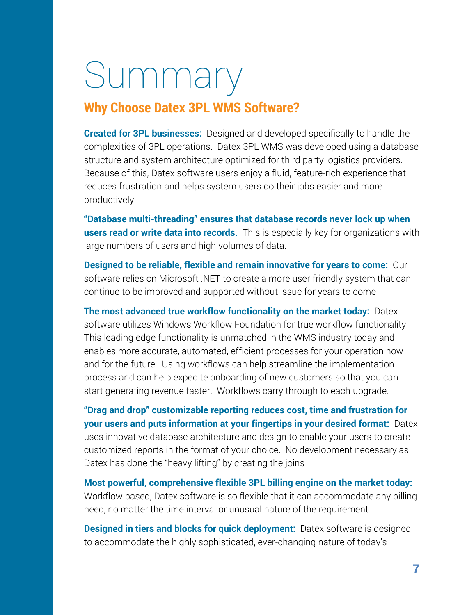# Summary

#### **Why Choose Datex 3PL WMS Software?**

**Created for 3PL businesses:** Designed and developed specifically to handle the complexities of 3PL operations. Datex 3PL WMS was developed using a database structure and system architecture optimized for third party logistics providers. Because of this, Datex software users enjoy a fluid, feature-rich experience that reduces frustration and helps system users do their jobs easier and more productively.

**"Database multi-threading" ensures that database records never lock up when users read or write data into records.** This is especially key for organizations with large numbers of users and high volumes of data.

**Designed to be reliable, flexible and remain innovative for years to come:** Our software relies on Microsoft .NET to create a more user friendly system that can continue to be improved and supported without issue for years to come

**The most advanced true workflow functionality on the market today:** Datex software utilizes Windows Workflow Foundation for true workflow functionality. This leading edge functionality is unmatched in the WMS industry today and enables more accurate, automated, efficient processes for your operation now and for the future. Using workflows can help streamline the implementation process and can help expedite onboarding of new customers so that you can start generating revenue faster. Workflows carry through to each upgrade.

**"Drag and drop" customizable reporting reduces cost, time and frustration for your users and puts information at your fingertips in your desired format:** Datex uses innovative database architecture and design to enable your users to create customized reports in the format of your choice. No development necessary as Datex has done the "heavy lifting" by creating the joins

**Most powerful, comprehensive flexible 3PL billing engine on the market today:** Workflow based, Datex software is so flexible that it can accommodate any billing need, no matter the time interval or unusual nature of the requirement.

**Designed in tiers and blocks for quick deployment:** Datex software is designed to accommodate the highly sophisticated, ever-changing nature of today's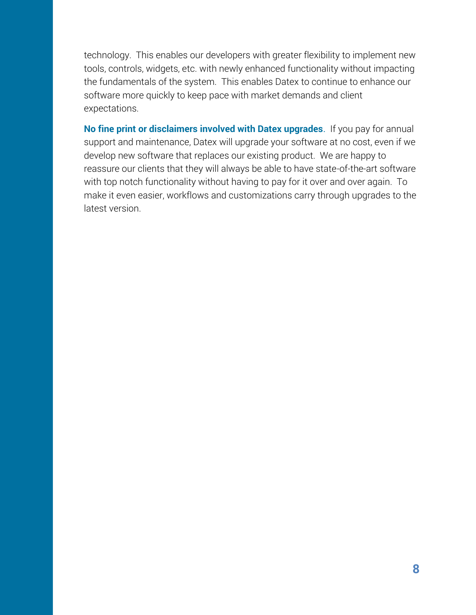technology. This enables our developers with greater flexibility to implement new tools, controls, widgets, etc. with newly enhanced functionality without impacting the fundamentals of the system. This enables Datex to continue to enhance our software more quickly to keep pace with market demands and client expectations.

**No fine print or disclaimers involved with Datex upgrades**. If you pay for annual support and maintenance, Datex will upgrade your software at no cost, even if we develop new software that replaces our existing product. We are happy to reassure our clients that they will always be able to have state-of-the-art software with top notch functionality without having to pay for it over and over again. To make it even easier, workflows and customizations carry through upgrades to the latest version.